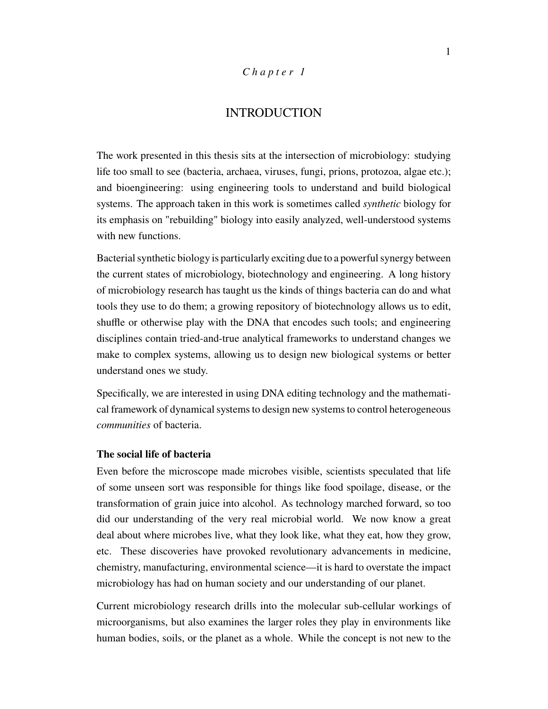## *C h a p t e r 1*

## INTRODUCTION

The work presented in this thesis sits at the intersection of microbiology: studying life too small to see (bacteria, archaea, viruses, fungi, prions, protozoa, algae etc.); and bioengineering: using engineering tools to understand and build biological systems. The approach taken in this work is sometimes called *synthetic* biology for its emphasis on "rebuilding" biology into easily analyzed, well-understood systems with new functions.

Bacterial synthetic biology is particularly exciting due to a powerful synergy between the current states of microbiology, biotechnology and engineering. A long history of microbiology research has taught us the kinds of things bacteria can do and what tools they use to do them; a growing repository of biotechnology allows us to edit, shuffle or otherwise play with the DNA that encodes such tools; and engineering disciplines contain tried-and-true analytical frameworks to understand changes we make to complex systems, allowing us to design new biological systems or better understand ones we study.

Specifically, we are interested in using DNA editing technology and the mathematical framework of dynamical systems to design new systems to control heterogeneous *communities* of bacteria.

### **The social life of bacteria**

Even before the microscope made microbes visible, scientists speculated that life of some unseen sort was responsible for things like food spoilage, disease, or the transformation of grain juice into alcohol. As technology marched forward, so too did our understanding of the very real microbial world. We now know a great deal about where microbes live, what they look like, what they eat, how they grow, etc. These discoveries have provoked revolutionary advancements in medicine, chemistry, manufacturing, environmental science—it is hard to overstate the impact microbiology has had on human society and our understanding of our planet.

Current microbiology research drills into the molecular sub-cellular workings of microorganisms, but also examines the larger roles they play in environments like human bodies, soils, or the planet as a whole. While the concept is not new to the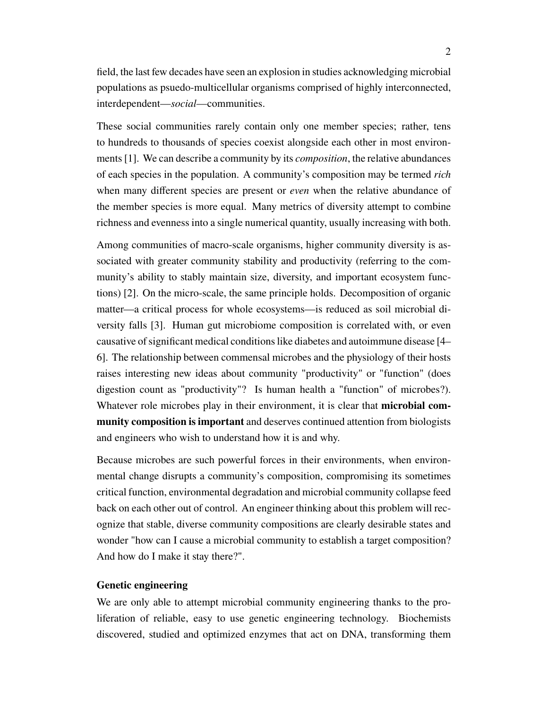field, the last few decades have seen an explosion in studies acknowledging microbial populations as psuedo-multicellular organisms comprised of highly interconnected, interdependent—*social*—communities.

These social communities rarely contain only one member species; rather, tens to hundreds to thousands of species coexist alongside each other in most environments [1]. We can describe a community by its *composition*, the relative abundances of each species in the population. A community's composition may be termed *rich* when many different species are present or *even* when the relative abundance of the member species is more equal. Many metrics of diversity attempt to combine richness and evenness into a single numerical quantity, usually increasing with both.

Among communities of macro-scale organisms, higher community diversity is associated with greater community stability and productivity (referring to the community's ability to stably maintain size, diversity, and important ecosystem functions) [2]. On the micro-scale, the same principle holds. Decomposition of organic matter—a critical process for whole ecosystems—is reduced as soil microbial diversity falls [3]. Human gut microbiome composition is correlated with, or even causative of significant medical conditions like diabetes and autoimmune disease [4– 6]. The relationship between commensal microbes and the physiology of their hosts raises interesting new ideas about community "productivity" or "function" (does digestion count as "productivity"? Is human health a "function" of microbes?). Whatever role microbes play in their environment, it is clear that **microbial community composition is important** and deserves continued attention from biologists and engineers who wish to understand how it is and why.

Because microbes are such powerful forces in their environments, when environmental change disrupts a community's composition, compromising its sometimes critical function, environmental degradation and microbial community collapse feed back on each other out of control. An engineer thinking about this problem will recognize that stable, diverse community compositions are clearly desirable states and wonder "how can I cause a microbial community to establish a target composition? And how do I make it stay there?".

### **Genetic engineering**

We are only able to attempt microbial community engineering thanks to the proliferation of reliable, easy to use genetic engineering technology. Biochemists discovered, studied and optimized enzymes that act on DNA, transforming them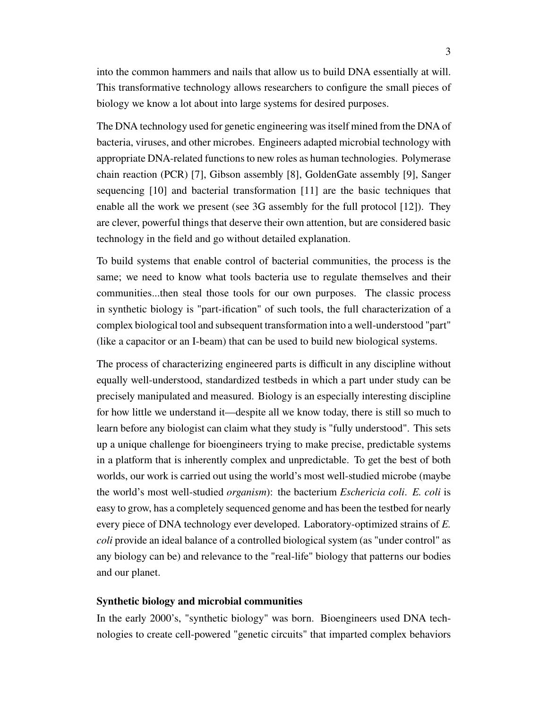into the common hammers and nails that allow us to build DNA essentially at will. This transformative technology allows researchers to configure the small pieces of biology we know a lot about into large systems for desired purposes.

The DNA technology used for genetic engineering was itself mined from the DNA of bacteria, viruses, and other microbes. Engineers adapted microbial technology with appropriate DNA-related functions to new roles as human technologies. Polymerase chain reaction (PCR) [7], Gibson assembly [8], GoldenGate assembly [9], Sanger sequencing [10] and bacterial transformation [11] are the basic techniques that enable all the work we present (see 3G assembly for the full protocol [12]). They are clever, powerful things that deserve their own attention, but are considered basic technology in the field and go without detailed explanation.

To build systems that enable control of bacterial communities, the process is the same; we need to know what tools bacteria use to regulate themselves and their communities...then steal those tools for our own purposes. The classic process in synthetic biology is "part-ification" of such tools, the full characterization of a complex biological tool and subsequent transformation into a well-understood "part" (like a capacitor or an I-beam) that can be used to build new biological systems.

The process of characterizing engineered parts is difficult in any discipline without equally well-understood, standardized testbeds in which a part under study can be precisely manipulated and measured. Biology is an especially interesting discipline for how little we understand it—despite all we know today, there is still so much to learn before any biologist can claim what they study is "fully understood". This sets up a unique challenge for bioengineers trying to make precise, predictable systems in a platform that is inherently complex and unpredictable. To get the best of both worlds, our work is carried out using the world's most well-studied microbe (maybe the world's most well-studied *organism*): the bacterium *Eschericia coli*. *E. coli* is easy to grow, has a completely sequenced genome and has been the testbed for nearly every piece of DNA technology ever developed. Laboratory-optimized strains of *E. coli* provide an ideal balance of a controlled biological system (as "under control" as any biology can be) and relevance to the "real-life" biology that patterns our bodies and our planet.

## **Synthetic biology and microbial communities**

In the early 2000's, "synthetic biology" was born. Bioengineers used DNA technologies to create cell-powered "genetic circuits" that imparted complex behaviors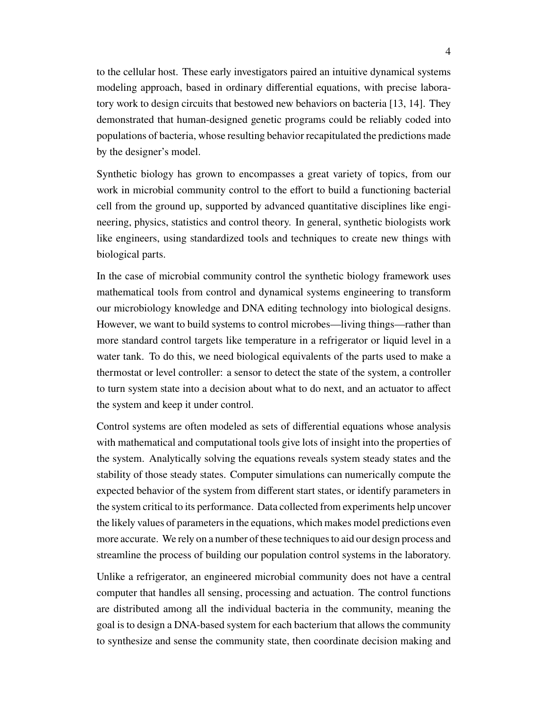to the cellular host. These early investigators paired an intuitive dynamical systems modeling approach, based in ordinary differential equations, with precise laboratory work to design circuits that bestowed new behaviors on bacteria [13, 14]. They demonstrated that human-designed genetic programs could be reliably coded into populations of bacteria, whose resulting behavior recapitulated the predictions made by the designer's model.

Synthetic biology has grown to encompasses a great variety of topics, from our work in microbial community control to the effort to build a functioning bacterial cell from the ground up, supported by advanced quantitative disciplines like engineering, physics, statistics and control theory. In general, synthetic biologists work like engineers, using standardized tools and techniques to create new things with biological parts.

In the case of microbial community control the synthetic biology framework uses mathematical tools from control and dynamical systems engineering to transform our microbiology knowledge and DNA editing technology into biological designs. However, we want to build systems to control microbes—living things—rather than more standard control targets like temperature in a refrigerator or liquid level in a water tank. To do this, we need biological equivalents of the parts used to make a thermostat or level controller: a sensor to detect the state of the system, a controller to turn system state into a decision about what to do next, and an actuator to affect the system and keep it under control.

Control systems are often modeled as sets of differential equations whose analysis with mathematical and computational tools give lots of insight into the properties of the system. Analytically solving the equations reveals system steady states and the stability of those steady states. Computer simulations can numerically compute the expected behavior of the system from different start states, or identify parameters in the system critical to its performance. Data collected from experiments help uncover the likely values of parameters in the equations, which makes model predictions even more accurate. We rely on a number of these techniques to aid our design process and streamline the process of building our population control systems in the laboratory.

Unlike a refrigerator, an engineered microbial community does not have a central computer that handles all sensing, processing and actuation. The control functions are distributed among all the individual bacteria in the community, meaning the goal is to design a DNA-based system for each bacterium that allows the community to synthesize and sense the community state, then coordinate decision making and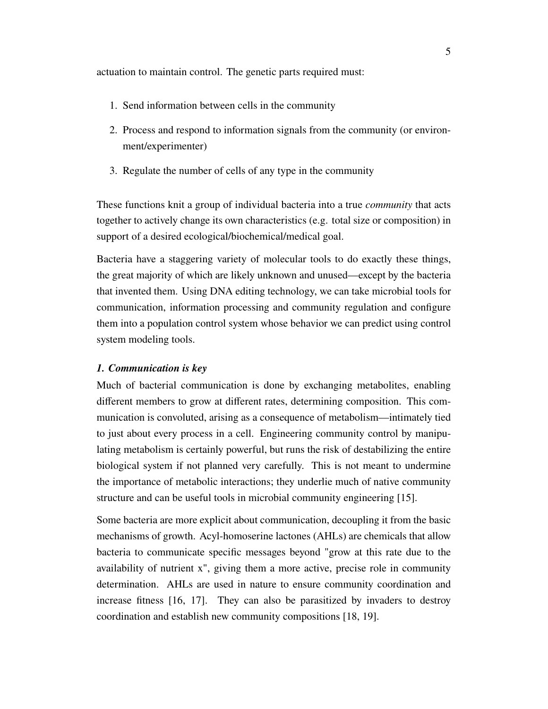actuation to maintain control. The genetic parts required must:

- 1. Send information between cells in the community
- 2. Process and respond to information signals from the community (or environment/experimenter)
- 3. Regulate the number of cells of any type in the community

These functions knit a group of individual bacteria into a true *community* that acts together to actively change its own characteristics (e.g. total size or composition) in support of a desired ecological/biochemical/medical goal.

Bacteria have a staggering variety of molecular tools to do exactly these things, the great majority of which are likely unknown and unused—except by the bacteria that invented them. Using DNA editing technology, we can take microbial tools for communication, information processing and community regulation and configure them into a population control system whose behavior we can predict using control system modeling tools.

## *1. Communication is key*

Much of bacterial communication is done by exchanging metabolites, enabling different members to grow at different rates, determining composition. This communication is convoluted, arising as a consequence of metabolism—intimately tied to just about every process in a cell. Engineering community control by manipulating metabolism is certainly powerful, but runs the risk of destabilizing the entire biological system if not planned very carefully. This is not meant to undermine the importance of metabolic interactions; they underlie much of native community structure and can be useful tools in microbial community engineering [15].

Some bacteria are more explicit about communication, decoupling it from the basic mechanisms of growth. Acyl-homoserine lactones (AHLs) are chemicals that allow bacteria to communicate specific messages beyond "grow at this rate due to the availability of nutrient x", giving them a more active, precise role in community determination. AHLs are used in nature to ensure community coordination and increase fitness [16, 17]. They can also be parasitized by invaders to destroy coordination and establish new community compositions [18, 19].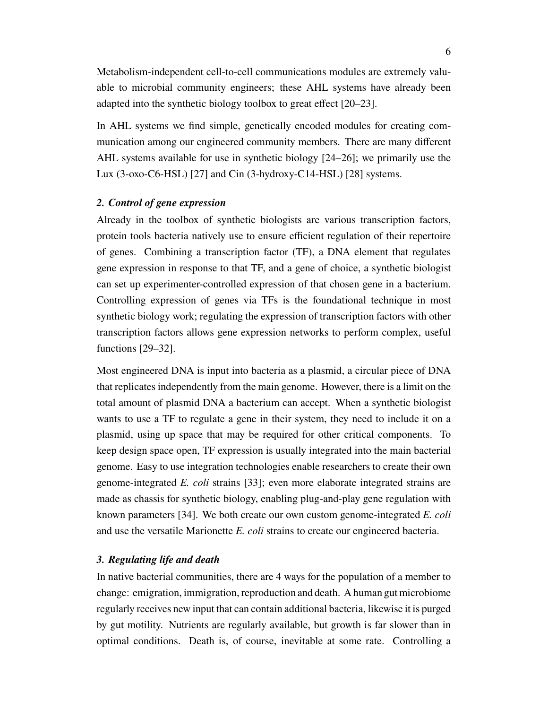Metabolism-independent cell-to-cell communications modules are extremely valuable to microbial community engineers; these AHL systems have already been adapted into the synthetic biology toolbox to great effect [20–23].

In AHL systems we find simple, genetically encoded modules for creating communication among our engineered community members. There are many different AHL systems available for use in synthetic biology [24–26]; we primarily use the Lux (3-oxo-C6-HSL) [27] and Cin (3-hydroxy-C14-HSL) [28] systems.

### *2. Control of gene expression*

Already in the toolbox of synthetic biologists are various transcription factors, protein tools bacteria natively use to ensure efficient regulation of their repertoire of genes. Combining a transcription factor (TF), a DNA element that regulates gene expression in response to that TF, and a gene of choice, a synthetic biologist can set up experimenter-controlled expression of that chosen gene in a bacterium. Controlling expression of genes via TFs is the foundational technique in most synthetic biology work; regulating the expression of transcription factors with other transcription factors allows gene expression networks to perform complex, useful functions [29–32].

Most engineered DNA is input into bacteria as a plasmid, a circular piece of DNA that replicates independently from the main genome. However, there is a limit on the total amount of plasmid DNA a bacterium can accept. When a synthetic biologist wants to use a TF to regulate a gene in their system, they need to include it on a plasmid, using up space that may be required for other critical components. To keep design space open, TF expression is usually integrated into the main bacterial genome. Easy to use integration technologies enable researchers to create their own genome-integrated *E. coli* strains [33]; even more elaborate integrated strains are made as chassis for synthetic biology, enabling plug-and-play gene regulation with known parameters [34]. We both create our own custom genome-integrated *E. coli* and use the versatile Marionette *E. coli* strains to create our engineered bacteria.

#### *3. Regulating life and death*

In native bacterial communities, there are 4 ways for the population of a member to change: emigration, immigration, reproduction and death. A human gut microbiome regularly receives new input that can contain additional bacteria, likewise it is purged by gut motility. Nutrients are regularly available, but growth is far slower than in optimal conditions. Death is, of course, inevitable at some rate. Controlling a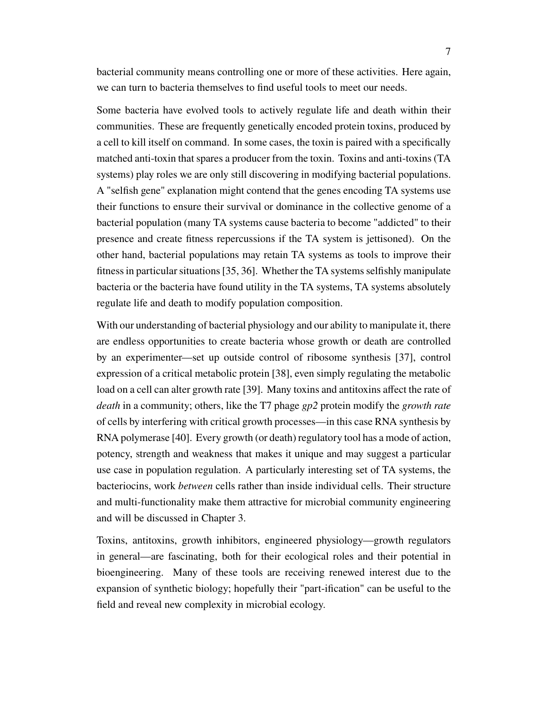bacterial community means controlling one or more of these activities. Here again, we can turn to bacteria themselves to find useful tools to meet our needs.

Some bacteria have evolved tools to actively regulate life and death within their communities. These are frequently genetically encoded protein toxins, produced by a cell to kill itself on command. In some cases, the toxin is paired with a specifically matched anti-toxin that spares a producer from the toxin. Toxins and anti-toxins (TA systems) play roles we are only still discovering in modifying bacterial populations. A "selfish gene" explanation might contend that the genes encoding TA systems use their functions to ensure their survival or dominance in the collective genome of a bacterial population (many TA systems cause bacteria to become "addicted" to their presence and create fitness repercussions if the TA system is jettisoned). On the other hand, bacterial populations may retain TA systems as tools to improve their fitness in particular situations [35, 36]. Whether the TA systems selfishly manipulate bacteria or the bacteria have found utility in the TA systems, TA systems absolutely regulate life and death to modify population composition.

With our understanding of bacterial physiology and our ability to manipulate it, there are endless opportunities to create bacteria whose growth or death are controlled by an experimenter—set up outside control of ribosome synthesis [37], control expression of a critical metabolic protein [38], even simply regulating the metabolic load on a cell can alter growth rate [39]. Many toxins and antitoxins affect the rate of *death* in a community; others, like the T7 phage *gp2* protein modify the *growth rate* of cells by interfering with critical growth processes—in this case RNA synthesis by RNA polymerase [40]. Every growth (or death) regulatory tool has a mode of action, potency, strength and weakness that makes it unique and may suggest a particular use case in population regulation. A particularly interesting set of TA systems, the bacteriocins, work *between* cells rather than inside individual cells. Their structure and multi-functionality make them attractive for microbial community engineering and will be discussed in Chapter 3.

Toxins, antitoxins, growth inhibitors, engineered physiology—growth regulators in general—are fascinating, both for their ecological roles and their potential in bioengineering. Many of these tools are receiving renewed interest due to the expansion of synthetic biology; hopefully their "part-ification" can be useful to the field and reveal new complexity in microbial ecology.